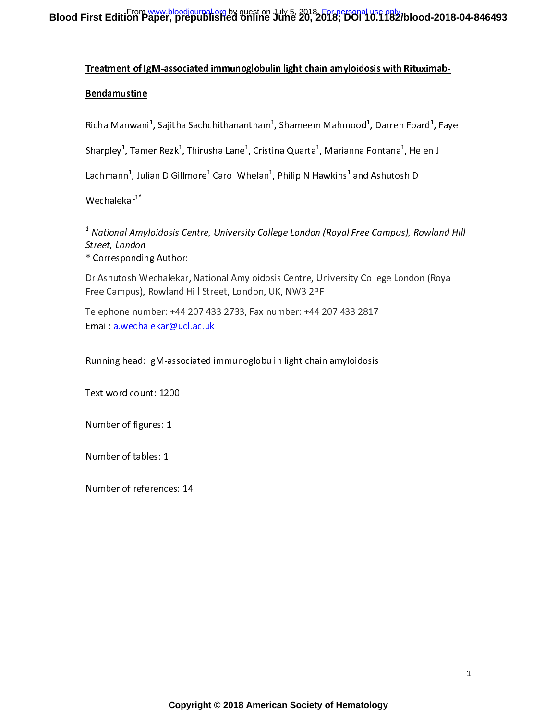### Treatment of IgM-associated immunoglobulin light chain amyloidosis with Rituximab-

### Bendamustine

Richa Manwani", Sajitha Sachchithanantham", Shameem Mahmood", Darren Foard", Faye

Sharpley", Tamer Rezk", Thirusha Lane", Cristina Quarta", Marianna Fontana", Helen J

Lachmann", Julian D Gillmore" Carol Whelan", Philip N Hawkins" and Ashutosh D

 $We$ chale $kar^{1*}$ 

<sup>-</sup> National Amyloidosis Centre, University College London (Royal Free Campus), Rowland Hill<br>Shank and a Street, London

Corresponding Author:

Dr Ashutosh Wechalekar, National Amyloidosis Centre, University College London (Royal Free Campus), Rowland Hill Street, London, UK, NW3 2PF

Telephone number: +44 207 433 2733, Fax number: +44 207 433 2817 Email: a.wechalekar@ucl.ac.uk

Running head: IgM-associated immunoglobulin light chain amyloidosis

Text word count: 1200

Number of figures: 1

Number of tables: 1

Number of references: 14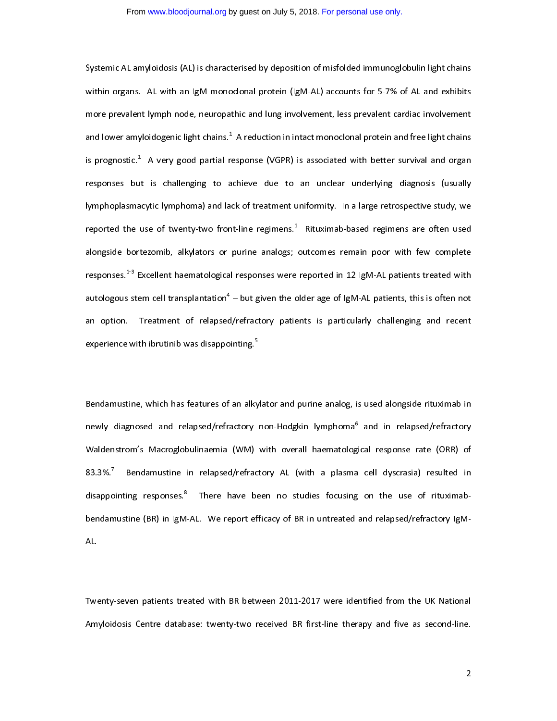Systemic AL amyloidosis (AL) is characterised by deposition of misfolded immunoglobulin light chains<br>within organs. AL with an IgM monoclonal protein (IgM-AL) accounts for 5-7% of AL and exhibits more prevalent lymph node, neuropathic and lung involvement, less prevalent cardiac involvement and lower amyloidogenic light chains.<sup>1</sup> A reduction in intact monoclonal protein and free light chains and lower amyloidogenic light chains.\* A reduction in intact monoclonal protein and free light chains<br>is prognostic.<sup>1</sup> A very good partial response (VGPR) is associated with better survival and organ is prognostic." A very good partial response (VGPR) is associated with better survival and organ<br>responses but is challenging to achieve due to an unclear underlying diagnosis (usually lymphoplasmacytic lymphoma) and lack of treatment uniformity. In a large retrospective study, we reported the use of twenty-two front-line regimens.<sup>1</sup> Rituximab-based regimens are often used reported the use of twenty-two front-line regimens.\* Rituximab-based regimens are often used<br>alongside bortezomib, alkylators or purine analogs; outcomes remain poor with few complete responses.<sup>1-3</sup> Excellent haematological responses were reported in 12 IgM-AL patients treated with autologous stem cell transplantation<sup>4</sup> – but given the older age of IgM-AL patients, this is often not autologous stem cell transplantation" – but given the older age of IgM-AL patients, this is often not<br>an option. Treatment of relapsed/refractory patients is particularly challenging and recent an option. Treatment of relapsed/refractory patients is particularly challenging and recent<br>experience with ibrutinib was disappointing.<sup>5</sup> experience with ibrutinib was disappointing.<sup>5</sup>

l Bendamustine, which has features of an alkylator and purine analog, is used alongside rituximab in<br>newly diagnosed and relapsed/refractory non-Hodgkin lymphoma<sup>6</sup> and in relapsed/refractory newly diagnosed and relapsed/refractory non-Hodgkin lymphoma° and in relapsed/refractory<br>Waldenstrom's Macroglobulinaemia (WM) with overall haematological response rate (ORR) of  $83.3\%$ <sup>7</sup> Bendamustine in relapsed/refractory AL (with a plasma cell dyscrasia) resulted in 83.3%.' Bendamustine in relapsed/refractory AL (with a plasma cell dyscrasia) resulted in<br>disappointing responses.<sup>8</sup> There have been no studies focusing on the use of rituximabdisappointing responses." There have been no studies focusing on the use of rituximab-<br>bendamustine (BR) in IgM-AL. We report efficacy of BR in untreated and relapsed/refractory IgMbendamustine (BR) in IgM-AL. We report effect and report effects and relations  $\mathcal{B}(\mathcal{A})$ AL.

Twenty-seven patients treated with BR between 2011-2017 were identified from the UK National<br>Amyloidosis Centre database: twenty-two received BR first-line therapy and five as second-line.  $A$ myloidosis Centre database: two  $\frac{1}{2}$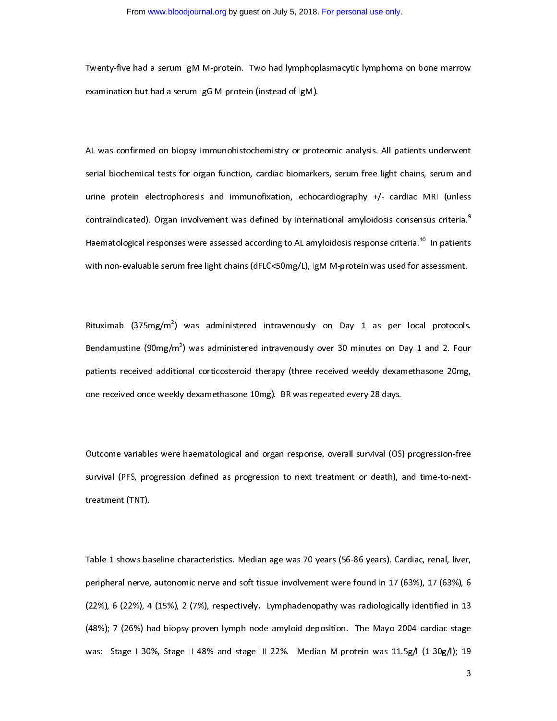Twenty-five had a serum IgM M-protein. Two had lymphoplasmacytic lymphoma on bone marrow<br>examination but had a serum IgG M-protein (instead of IgM). examination but had a serum IgG M-protein (instead of IgM).

 $\overline{1}$ AL was confirmed on biopsy immunohistochemistry or proteomic analysis. All patients underwent<br>serial biochemical tests for organ function, cardiac biomarkers, serum free light chains, serum and urine protein electrophoresis and immunofixation, echocardiography +/- cardiac MRI (unless contraindicated). Organ involvement was defined by international amyloidosis consensus criteria.<sup>9</sup> Haematological responses were assessed according to AL amyloidosis response criteria.<sup>10</sup> In patients with non-evaluable serum free light chains (dFLC<50mg/L), IgM M-protein was used for assessment. with non-evaluation server light chains (dFLCC), ignoration was used for assessment. In the series of  $\alpha$ 

.<br>F Rituximab (375mg/m<sup>e</sup>) was administered intravenously on Day 1 as per local protocols.<br>Bendamustine (90mg/m<sup>2</sup>) was administered intravenously over 30 minutes on Day 1 and 2. Four Bendamustine (90mg/m<sup>2</sup>) was administered intravenously over 30 minutes on Day 1 and 2. Four<br>patients received additional corticosteroid therapy (three received weekly dexamethasone 20mg, one received once weekly dexamethasone 10mg). BR was repeated every 28 days. one received once weekly dexamethasone 10mg). BR was repeated every 28 days.

 $\overline{\phantom{a}}$ Outcome variables were haematological and organ response, overall survival (OS) progression-free<br>Survival (PFS, progression defined as progression to next treatment or death), and time-to-nextsurvival (PFS, progression defined as progression to next treatment or death), and time-to-next-to-next-to-next-to-next-to-next-to-next-to-next-to-next-to-next-to-next-to-next-to-next-to-next-to-next-to-next-to-next-to-ne treatment (TNT).

Table 1 shows baseline characteristics. Median age was 70 years (56-86 years). Cardiac, renal, liver,<br>peripheral nerve, autonomic nerve and soft tissue involvement were found in 17 (63%), 17 (63%), 6 (22%), 6 (22%), 4 (15%), 2 (7%), respectively. Lymphadenopathy was radiologically identified in 13 (48%); 7 (26%) had biopsy-proven lymph node amyloid deposition. The Mayo 2004 cardiac stage was: Stage I 30%, Stage II 48% and stage III 22%. Median M-protein was 11.5g/l (1-30g/l); 19  $\sim$  Stage I 30% and stage II 33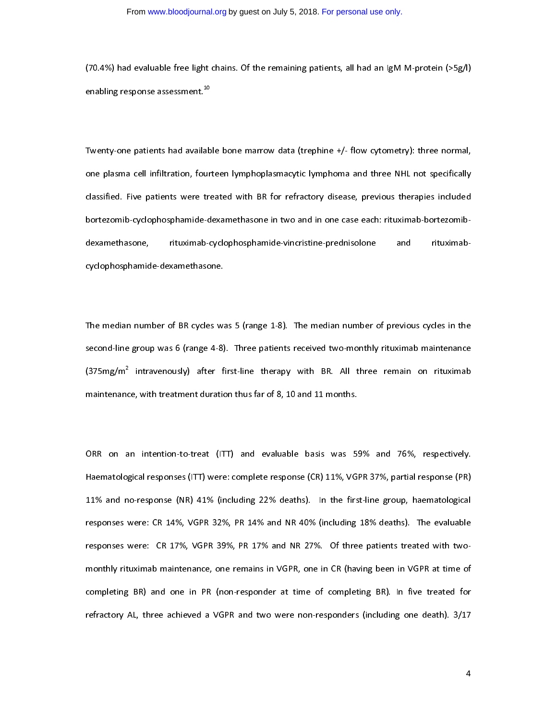$\frac{1}{2}$  had evaluate free light chains. Of the remaining patients, all had an IgM  $\frac{1}{2}$  and  $\frac{1}{2}$  and  $\frac{1}{2}$  and  $\frac{1}{2}$  and  $\frac{1}{2}$  and  $\frac{1}{2}$  and  $\frac{1}{2}$  and  $\frac{1}{2}$  and  $\frac{1}{2}$  and  $\frac{1}{2}$  a enabling response assessment.<sup>40</sup><br>-<br>-

 $\overline{1}$ Twenty-one patients had available bone marrow data (trephine +/- flow cytometry): three normal,<br>one plasma cell infiltration, fourteen lymphoplasmacytic lymphoma and three NHL not specifically classified. Five patients were treated with BR for refractory disease, previous therapies included bortezomib-cyclophosphamide-dexamethasone in two and in one case each: rituximab-bortezomibbortezomib-cyclophosphamide-dexamethasone in two and in two and in two and in our case each in  $\mathcal{L}$ dexamethasone, rituximab-cyclophosphamide-vincristine-prednisolone and rituximabcyclophosphamide-dexamethasone.

 $\overline{1}$ The median number of BR cycles was 5 (range 1-8). The median number of previous cycles in the<br>second-line group was 6 (range 4-8). Three patients received two-monthly rituximab maintenance  $(375mg/m<sup>2</sup>$  intravenously) after first-line therapy with BR. All three remain on rituximab (375mg/m<sup>2</sup> intravenously) after first-line therapy with BR. All three remain on rituximab<br>maintenance, with treatment duration thus far of 8, 10 and 11 months. maintenance, with treatment duration thus far of 8, 10 and 11 months.

 $\overline{\phantom{a}}$ ORR on an intention-to-treat (ITT) and evaluable basis was 59% and 76%, respectively.<br>Haematological responses (ITT) were: complete response (CR) 11%, VGPR 37%, partial response (PR) 11% and no-response (NR) 41% (including 22% deaths). In the first-line group, haematological responses were: CR 14%, VGPR 32%, PR 14% and NR 40% (including 18% deaths). The evaluable responses were: CR 17%, VGPR 39%, PR 17% and NR 27%. Of three patients treated with twomonthly rituximab maintenance, one remains in VGPR, one in CR (having been in VGPR at time of completing BR) and one in PR (non-responder at time of completing BR). In five treated for refractory AL, three achieved a VGPR and two were non-responders (including one death). 3/17 refractory AL, three achieved a VGPR and two were non-responders (including one death). 3/17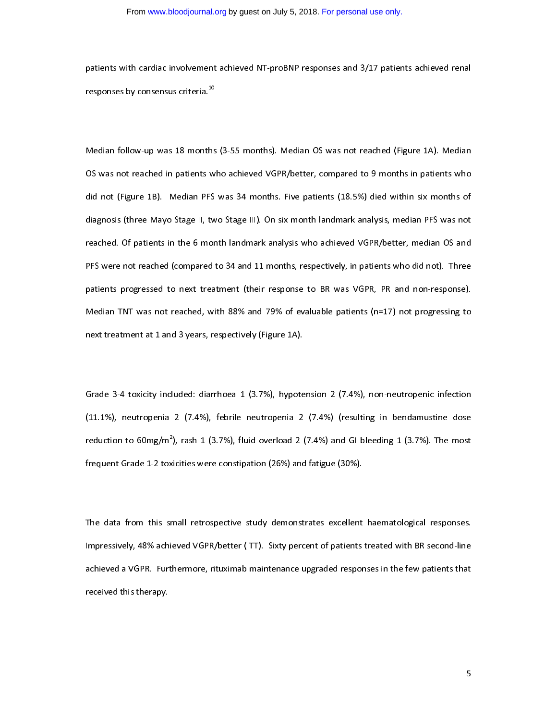patients with cardiac involvement achieved  $\mathbb{R}^n$  responses by consensus criteria.<sup>10</sup> patients achieved renal 3/17 patients achieved renal 3/17 patients achieved renal 3/17 patients achieved renal 3/17 patients achie responses by consensus criteria.<sup>10</sup>

֧֦֧֝֜֜֜֜֜֜ Median follow-up was 18 months (3-55 months). Median OS was not reached (Figure 1A). Median did not (Figure 1B). Median PFS was 34 months. Five patients (18.5%) died within six months of diagnosis (three Mayo Stage II, two Stage III). On six month landmark analysis, median PFS was not reached. Of patients in the 6 month landmark analysis who achieved VGPR/better, median OS and PFS were not reached (compared to 34 and 11 months, respectively, in patients who did not). Three patients progressed to next treatment (their response to BR was VGPR, PR and non-response). Median TNT was not reached, with 88% and 79% of evaluable patients ( $n=17$ ) not progressing to next treatment at 1 and 3 years, respectively (Figure 1A). next treatment at 1 and 3 years, respectively (Figure 1A).

 $\overline{\phantom{a}}$ Grade 3-4 toxicity included: diarrhoea 1 (3.7%), hypotension 2 (7.4%), non-neutropenic infection<br>(11.1%), neutropenia 2 (7.4%), febrile neutropenia 2 (7.4%) (resulting in bendamustine dose reduction to  $60mg/m^2$ ), rash 1 (3.7%), fluid overload 2 (7.4%) and GI bleeding 1 (3.7%). The most reduction to 60mg/m^), rash 1 (3.7%), fluid overload 2 (7.4%) and GI bleeding 1 (3.7%). The most<br>frequent Grade 1-2 toxicities were constipation (26%) and fatigue (30%). frequent Grade 1-2 toxicities were constipation (26%) and fatigue (30%).

 $\overline{1}$ The data from this small retrospective study demonstrates excellent haematological responses.<br>Impressively, 48% achieved VGPR/better (ITT). Sixty percent of patients treated with BR second-line achieved a VGPR. Furthermore, rituximab maintenance upgraded responses in the few patients that achieved this therapy. Furthermore, ritualisation of the few patients that is the few patients that few patients that  $\mathcal{L}$ received this therapy.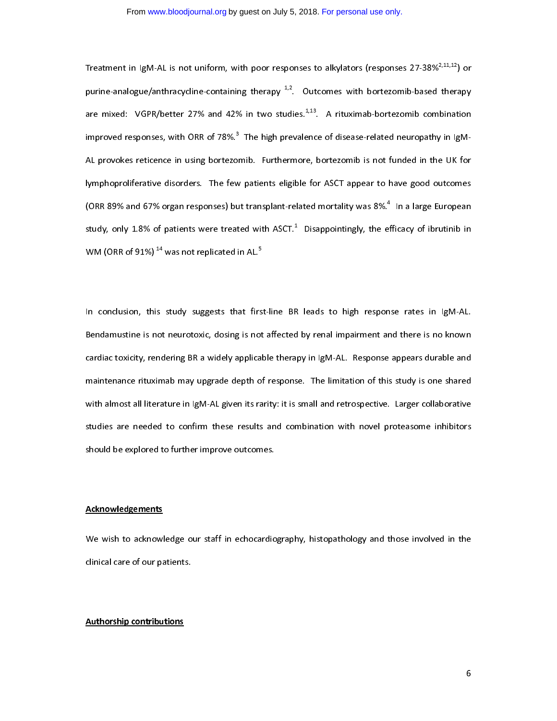#### From [www.bloodjournal.org](http://www.bloodjournal.org/) by guest on July 5, 2018. [For personal use only.](http://www.bloodjournal.org/site/subscriptions/ToS.xhtml)

Treatment in IgM-AL is not uniform, with poor responses to alkylators (responses 27-38%<sup>2,11,12</sup>) or<br>purine-analogue/anthracycline-containing therapy <sup>1,2</sup>. Outcomes with bortezomib-based therapy are mixed: VGPR/better 27% and 42% in two studies.<sup>1,13</sup>. A rituximab-bortezomib combination improved responses, with ORR of 78%.<sup>3</sup> The high prevalence of disease-related neuropathy in IgMimproved responses, with ORR of 78%. "The high prevalence of disease-related neuropathy in IgM-<br>AL provokes reticence in using bortezomib. Furthermore, bortezomib is not funded in the UK for lymphoproliferative disorders. The few patients eligible for ASCT appear to have good outcomes (ORR 89% and 67% organ responses) but transplant-related mortality was 8%.<sup>4</sup> In a large European (ORR 89% and 67% organ responses) but transplant-related mortality was 8%." In a large European<br>study, only 1.8% of patients were treated with ASCT.<sup>1</sup> Disappointingly, the efficacy of ibrutinib in study, only 1.8% of patients were treated with ASCT.<sup>-</sup><br>WM (ORR of 91%) <sup>14</sup> was not replicated in AL.<sup>5</sup> Disappointingly, the efficacy of ibrutinib in WM (ORR of 91%) 14 was not replicated in AL.5

 $\overline{1}$ In conclusion, this study suggests that first-line BR leads to high response rates in IgM-AL.<br>Bendamustine is not neurotoxic, dosing is not affected by renal impairment and there is no known cardiac toxicity, rendering BR a widely applicable therapy in IgM-AL. Response appears durable and maintenance rituximab may upgrade depth of response. The limitation of this study is one shared with almost all literature in IgM-AL given its rarity: it is small and retrospective. Larger collaborative studies are needed to confirm these results and combination with novel proteasome inhibitors should be explored to further improve outcomes. should be explored to further improve outcomes.

## $\overline{1}$ Acknowledgements

We wish to achieve ogle our staff in echocardiography, histopathology and those involved in the<br>clinical care of our patients. clinical care of our patients.

## $\overline{1}$ Authorship contributions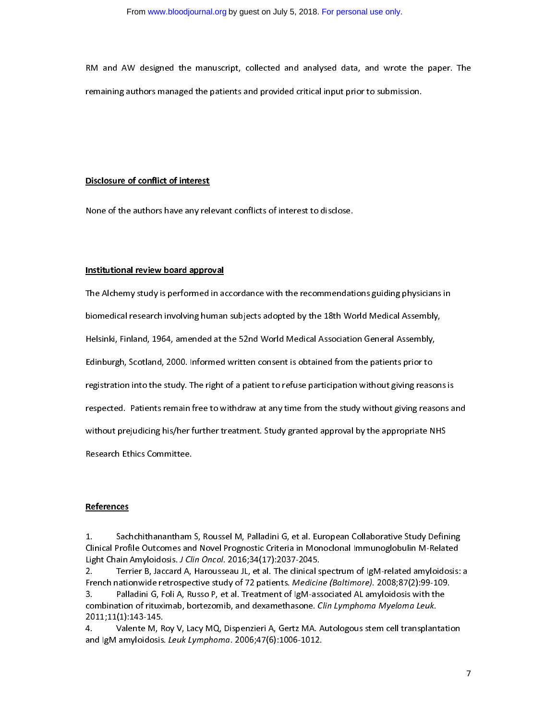RM and AW designed the manuscript, collected and analysed data, and wrote the paper. The<br>remaining authors managed the patients and provided critical input prior to submission. remaining authors managed the patients and provided critical input prior to submission.

### Disclosure of conflict of interest

None of the authors have any relevant conflicts of interest to disclose.

# $\overline{1}$ Institutional review board approval

The Alchemy study is performed in accordance with the recommendations guiding physicians in<br>biomedical research involving human subjects adopted by the 18th World Medical Assembly, Helsinki, Finland, 1964, amended at the 52nd World Medical Association General Assembly, Edinburgh, Scotland, 2000. Informed written consent is obtained from the patients prior to registration into the study. The right of a patient to refuse participation without giving reasons is respected. Patients remain free to withdraw at any time from the study without giving reasons and without prejudicing his/her further treatment. Study granted approval by the appropriate NHS without prejudicing his/her further treatment. Study granted approximate NHS is the approximate NHS is the approximate NHS is the approximate NHS is the approximate NHS is the approximate NHS is the approximate NHS is the

## $\overline{a}$ **References**

1. Sachchithanantham S, Roussel M, Palladini G, et al. European Collaborative Study Defining<br>Clinical Profile Outcomes and Novel Prognostic Criteria in Monoclonal Immunoglobulin M-Related<br>Light Chain Amyloidosis. *J Clin O* 

Terrier B, Jaccard A, Harousseau JL, et al. The clinical spectrum of IgM-related amyloidosis: a Light Chain Amyloidosis. J Clin Oncol. 2010, 34(17):2037-2045.<br>2. Terrier B, Jaccard A, Harousseau JL, et al. The clinical s<br>French nationwide retrospective study of 72 patients. *Medicin* 2. Tench nationwide retrospective study of 72 patients. *Medicine (Baltimore)*. 2008;87(2):99-109.<br>3. Palladini G, Foli A, Russo P, et al. Treatment of IgM-associated AL amyloidosis with the combination of rituximable bote French nationwide retrospective study of 72 patients. Medicine (Baltimore). 2008;87(2):99-109.<br>3. Palladini G, Foli A, Russo P, et al. Treatment of IgM-associated AL amyloidosis with the<br>combination of rituximab, bortezomi 3. Palladini G, Foli A, Russo P, et al. Treatment of IgM-associated AL amyloidosis with the

2011;11(1):143-145.<br>4. Valente M, Roy V, Lacy MQ, Dispenzieri A, Gertz MA. Autologous stem cell transplantation 2011;11(1):143-145. 4. Valente M, Roy V, Lacy MQ, Dispension M, Dispension Contractor Canadian participantation<br>and IgM amyloidosis. Leuk Lymphoma. 2006;47(6):1006-1012. and IgM amyloidosis. Leuk Ly*mphoma*. 2000;47(0):1006-1012.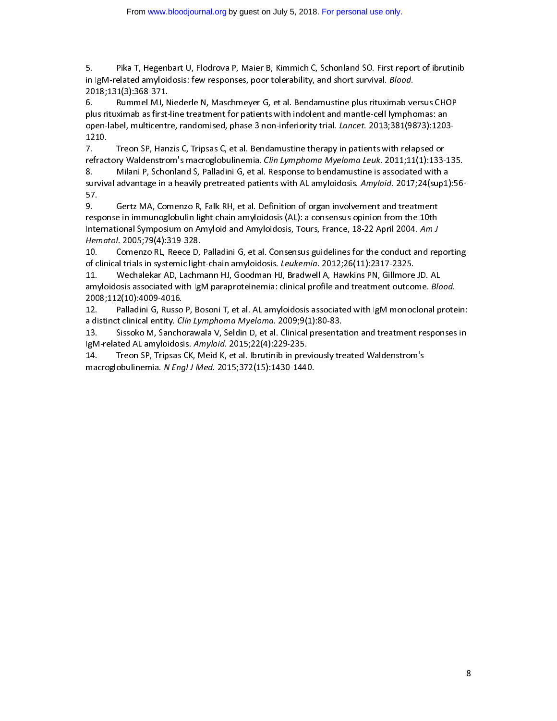5. Pika T, Hegenbart U, Flodrova P, Maier B, Kimmich C, Schonland SO. First report of ibrutinib<br>in IgM-related amyloidosis: few responses, poor tolerability, and short survival. *Blood*.<br>2018;131(3):368-371.<br>6. Rum 5.

Rummel MJ, Niederle N, Maschmeyer G, et al. Bendamustine plus rituximab versus CHOP plus rituximab as first-line treatment for patients with indolent and mantle-cell lymphomas: an Figure Manner May Measure My Massims young the Communisties plus rituximab versus Chosen<br>plus rituximab as first-line treatment for patients with indolent and mantle-cell lymphomas: an<br>ppen-label, multicentre, randomised, plus ritual plus rituximab as first-line treatmental considerations in the post induction open-label, multicentre, randomised, phase 3 non-inferiority trial. *Lancet.* 2013;381(9873):1203<br>1210.<br>7

open-label.<br>1990. Treon SP, Hanzis C, Tripsas C, et al. Bendamustine therapy in patients with relapsed or –––<br>7.<br>refract<br><sup>8.</sup>

refractory Waldenstrom's macroglobulinemia. Clin Lymphoma Myeloma Leuk. 2011;11(1):133-<br>8. Milani P, Schonland S, Palladini G, et al. Response to bendamustine is associated with a<br>sunded advantage in a beavily pret refractory Waldenstrom's macroglobulinemia. *Clin Lymphoma Myeloma Leuk.* 2011;11(1):133-135.<br>8. Milani P, Schonland S, Palladini G, et al. Response to bendamustine is associated with a<br>survival advantage in a he 8. Milani P, Schonland S, Palladini G, et al. Response to bendamustine is associated with a s7.<br>9. Gertz MA, Comenzo R, Falk RH, et al. Definition of organ involvement and treatment

response in immunoglobulin light chain amyloidosis (AL): a consensus opinion from the 10th response in immunoglobulin light chain amyloidosis (AL): a consensus opinion from the 10th<br>International Symposium on Amyloid and Amyloidosis, Tours, France, 18-22 April 2004. *Am J*<br>Hematol, 2005:79(4):319-328 refund the international Symposium on Amyloid and Amyloidosis, Tours, France, 18-22 April 2004. Am J<br>Hematol. 2005;79(4):319-328.<br>10. . . . . . Comenzo BL. Beece D. Balladini G. et al. Consensus guidelines for the conduct Hematol. 2005;79(4):319-328.<br>10. Comenzo RL, Reece D, Palladini G, et al. Consensus guidelines for the conduct and reporting

of clinical trials in systemic light-chain amyloidosis. *Leukemia*. 2012;26(11):2317-2325.<br>11. Wechalekar AD, Lachmann HJ, Goodman HJ, Bradwell A, Hawkins PN, Gillmore

Wechalekar AD, Lachmann HJ, Goodman HJ, Bradwell A, Hawkins PN, Gillmore JD. AL of clinical trials in systemic light-chain amyloidosis. Leukemia. 2012;20(11):2317-2325.<br>11. Wechalekar AD, Lachmann HJ, Goodman HJ, Bradwell A, Hawkins PN, Gillmore<br>amyloidosis associated with IgM paraproteinemia: clinica 11. We chall the state of the second of the paraproteinemia: clinical profile and treatment outcome. Blo<br>2008;112(10):4009-4016.<br>12. Balladini G. Busso B. Bosoni T. et al. AL amyloidosis associated with IgM monoclonal n

2008;112(10):4009-4016.<br>12. Palladini G, Russo P, Bosoni T, et al. AL amyloidosis associated with IgM monoclonal protein: a distinct clinical entity. *Clin Lymphoma Myeloma*. 2009;9(1):80-83.<br>13. Sissoko M, Sanchorawala V, Seldin D, et al. Clinical presenta

a distinct clinical entity. *Clin Lymphoma Myeloma* . 2009;9(1):80-83.<br>13. Sissoko M, Sanchorawala V, Seldin D, et al. Clinical presentation and treatment responses in<br>IgM-related AL amyloidosis, Amyloid. 2015;22(4): a distinct clinical entity. Clin Lymphoma Myeloma. 2009;9(1):00-83.<br>13. Sissoko M, Sanchorawala V, Seldin D, et al. Clinical presentar<br>14. Treon SB, Trinsas CK, Meid K, et al. Ibrutinib in previously tre

IgM-related AL amyloidosis. A*myloid*. 2015;22(4):229-235.<br>14. Treon SP, Tripsas CK, Meid K, et al. Ibrutinib in previously treated Waldenstrom's<br>macroslobulinemia. *N Engl. LMed. 20*15:372(15):1430-1440 IgM-related AL amyloidosis. Amyloid. 2015;22(4):229-235.<br>14. Treon SP, Tripsas CK, Meid K, et al. Ibrutinib in previon<br>macroglobulinemia. N Engl J Med. 2015;372(15):1430-1440. 14. Treon SP, Tripsas CK, Meid K, et al. Ibrutinib in previously treated Waldenstrom's<br>macroglobulinemia. *N Engl J Med*. 2015;372(15):1430-1440.<br>. macroglobulinemia. N Engl J Med. 2015;372(15):1430-1440.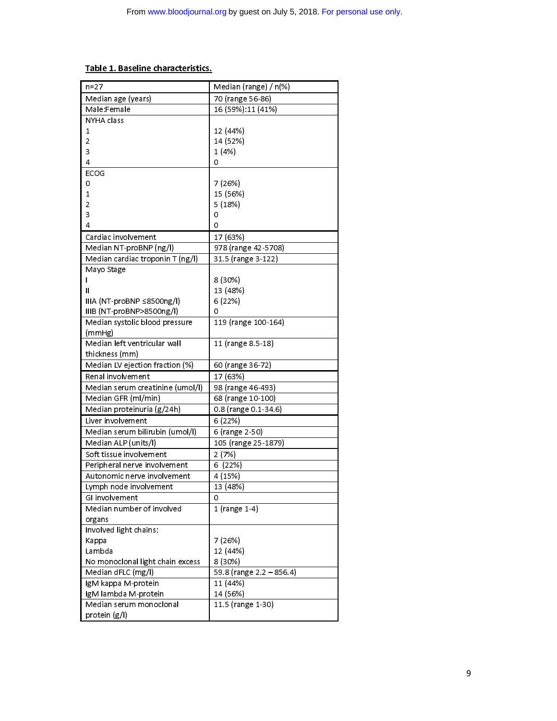## Table 1. Baseline characteristics.

| n=27                             | Median (range) / n(%)    |
|----------------------------------|--------------------------|
| Median age (years)               | 70 (range 56-86)         |
| Male:Female                      | 16 (59%):11 (41%)        |
| NYHA class                       |                          |
| 1                                | 12 (44%)                 |
| 2                                | 14 (52%)                 |
| 3                                | 1(4%)                    |
| 4                                | 0                        |
| ECOG                             |                          |
| 0                                | 7 (26%)                  |
| 1                                | 15 (56%)                 |
| 2                                | 5(18%)                   |
| 3                                | 0                        |
| 4                                | 0                        |
| Cardiac involvement              | 17 (63%)                 |
| Median NT-proBNP (ng/l)          | 978 (range 42-5708)      |
| Median cardiac troponin T (ng/l) | 31.5 (range 3-122)       |
| Mayo Stage                       |                          |
|                                  | 8 (30%)                  |
| $\mathsf{II}$                    | 13 (48%)                 |
| $IIIA (NT-proBNP \leq 8500ng/I)$ | 6 (22%)                  |
| IIIB (NT-proBNP>8500ng/l)        | 0                        |
| Median systolic blood pressure   | 119 (range 100-164)      |
| (mmHg)                           |                          |
| Median left ventricular wall     | 11 (range 8.5-18)        |
| thickness (mm)                   |                          |
| Median LV ejection fraction (%)  | 60 (range 36-72)         |
| Renal involvement                | 17 (63%)                 |
| Median serum creatinine (umol/l) | 98 (range 46-493)        |
| Median GFR (ml/min)              | 68 (range 10-100)        |
| Median proteinuria (g/24h)       | 0.8 (range 0.1-34.6)     |
| Liver involvement                | 6 (22%)                  |
| Median serum bilirubin (umol/l)  | 6 (range 2-50)           |
| Median ALP (units/l)             | 105 (range 25-1879)      |
| Soft tissue involvement          | 2(7%)                    |
| Peripheral nerve involvement     | 6 (22%)                  |
| Autonomic nerve involvement      | 4 (15%)                  |
| Lymph node involvement           | 13 (48%)                 |
| GI involvement                   | 0                        |
| Median number of involved        | 1 (range 1-4)            |
| organs                           |                          |
| Involved light chains:           |                          |
| Kappa                            | 7 (26%)                  |
| Lambda                           | 12 (44%)                 |
| No monoclonal light chain excess | 8 (30%)                  |
| Median dFLC (mg/l)               | 59.8 (range 2.2 - 856.4) |
| IgM kappa M-protein              | 11 (44%)                 |
| IgM lambda M-protein             | 14 (56%)                 |
| Median serum monoclonal          | 11.5 (range 1-30)        |
| protein $(g/ )$                  |                          |
|                                  |                          |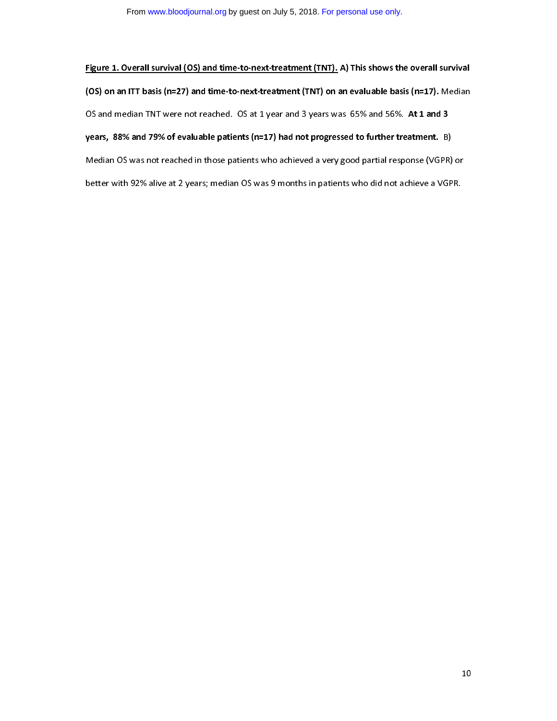Figure 1. Overall survival (OS) and time-to-next-treatment (TNT). A) This shows the overall survival<br>(OS) on an ITT basis (n=27) and time-to-next-treatment (TNT) on an evaluable basis (n=17). Median OS and median TNT were not reached. OS at 1 year and 3 years was 65% and 56%. At 1 and 3 years, 88% and 79% of evaluable patients (n=17) had not progressed to further treatment.  $B$ ) Median OS was not reached in those patients who achieved a very good partial response (VGPR) or better with 92% alive at 2 years; median OS was 9 months in patients who did not achieve a VGPR. better with 92% alive at 2 years; median OS was 9 months in patients who did not achieve a VGPR.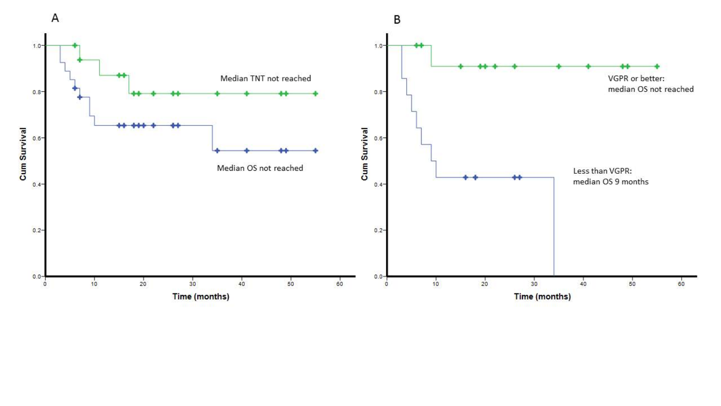